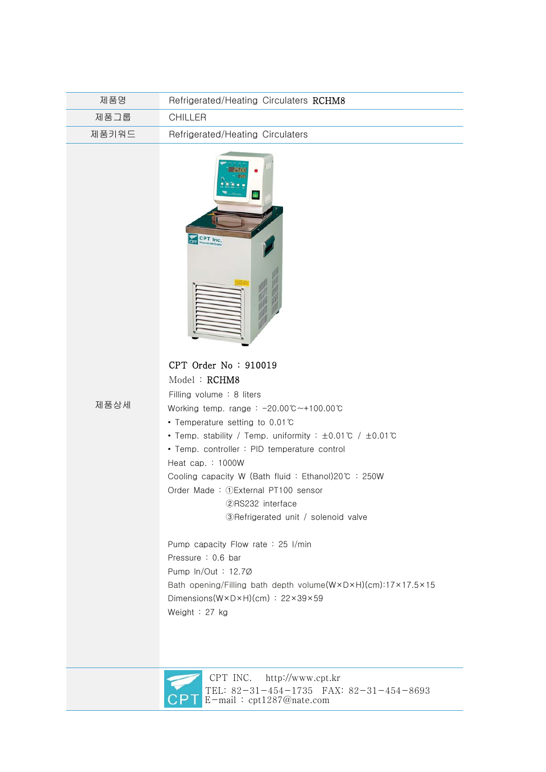| 제품명   | Refrigerated/Heating Circulaters RCHM8 |
|-------|----------------------------------------|
| 제품그룹  | CHILLER                                |
| 제품키워드 | Refrigerated/Heating Circulaters       |



## CPT Order No : 910019  $M = 1.1 + D$ CHM80

제품상세

| Model : <b>RCHM8</b>                                                             |
|----------------------------------------------------------------------------------|
| Filling volume $\div$ 8 liters                                                   |
| Working temp. range: $-20.00^{\circ}$ C ~ + 100.00 $\circ$                       |
| • Temperature setting to 0.01 $\degree$                                          |
| • Temp. stability / Temp. uniformity : $\pm 0.01^{\circ}$ / $\pm 0.01^{\circ}$ C |
| • Temp. controller: PID temperature control                                      |
| Heat cap. $: 1000W$                                                              |
| Cooling capacity W (Bath fluid: Ethanol)20℃ : 250W                               |
| Order Made: 1) External PT100 sensor                                             |
| (2) RS232 interface                                                              |
| 3) Refrigerated unit / solenoid valve                                            |
|                                                                                  |
| Pump capacity Flow rate : 25 $1$ /min                                            |
| Pressure: 0.6 bar                                                                |
| Pump $ln/Out: 12.7\varnothing$                                                   |
| Bath opening/Filling bath depth volume(W×D×H)(cm):17×17.5×15                     |
| Dimensions( $W \times D \times H$ )(cm) : 22×39×59                               |
|                                                                                  |

Weight : 27 kg